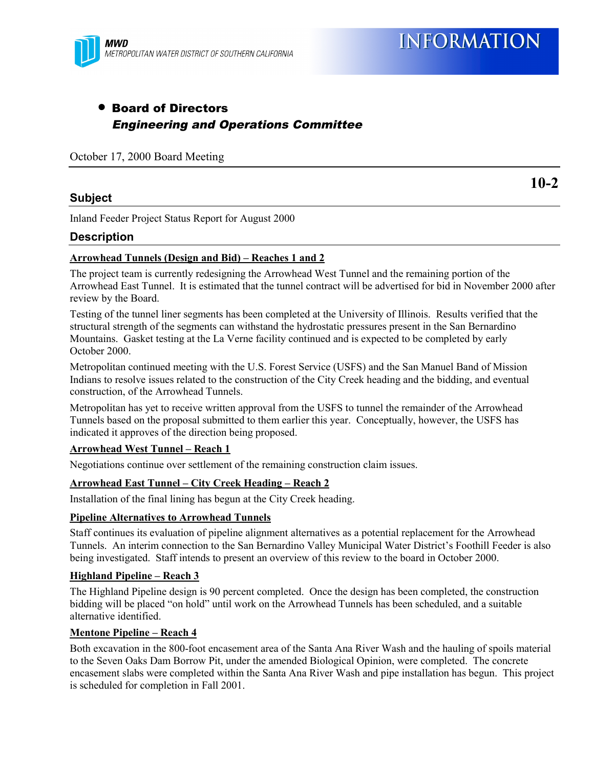

### • Board of Directors Engineering and Operations Committee

October 17, 2000 Board Meeting

#### **Subject**

**10-2**

Inland Feeder Project Status Report for August 2000

#### **Description**

#### **Arrowhead Tunnels (Design and Bid) – Reaches 1 and 2**

The project team is currently redesigning the Arrowhead West Tunnel and the remaining portion of the Arrowhead East Tunnel. It is estimated that the tunnel contract will be advertised for bid in November 2000 after review by the Board.

Testing of the tunnel liner segments has been completed at the University of Illinois. Results verified that the structural strength of the segments can withstand the hydrostatic pressures present in the San Bernardino Mountains. Gasket testing at the La Verne facility continued and is expected to be completed by early October 2000.

Metropolitan continued meeting with the U.S. Forest Service (USFS) and the San Manuel Band of Mission Indians to resolve issues related to the construction of the City Creek heading and the bidding, and eventual construction, of the Arrowhead Tunnels.

Metropolitan has yet to receive written approval from the USFS to tunnel the remainder of the Arrowhead Tunnels based on the proposal submitted to them earlier this year. Conceptually, however, the USFS has indicated it approves of the direction being proposed.

#### **Arrowhead West Tunnel – Reach 1**

Negotiations continue over settlement of the remaining construction claim issues.

#### **Arrowhead East Tunnel – City Creek Heading – Reach 2**

Installation of the final lining has begun at the City Creek heading.

#### **Pipeline Alternatives to Arrowhead Tunnels**

Staff continues its evaluation of pipeline alignment alternatives as a potential replacement for the Arrowhead Tunnels. An interim connection to the San Bernardino Valley Municipal Water District's Foothill Feeder is also being investigated. Staff intends to present an overview of this review to the board in October 2000.

#### **Highland Pipeline – Reach 3**

The Highland Pipeline design is 90 percent completed. Once the design has been completed, the construction bidding will be placed "on hold" until work on the Arrowhead Tunnels has been scheduled, and a suitable alternative identified.

#### **Mentone Pipeline – Reach 4**

Both excavation in the 800-foot encasement area of the Santa Ana River Wash and the hauling of spoils material to the Seven Oaks Dam Borrow Pit, under the amended Biological Opinion, were completed. The concrete encasement slabs were completed within the Santa Ana River Wash and pipe installation has begun. This project is scheduled for completion in Fall 2001.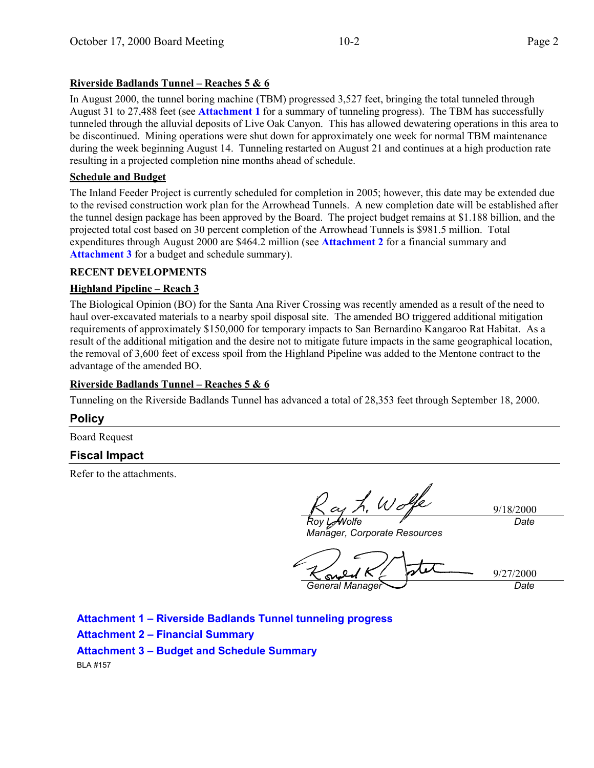#### **Riverside Badlands Tunnel – Reaches 5 & 6**

In August 2000, the tunnel boring machine (TBM) progressed 3,527 feet, bringing the total tunneled through August 31 to 27,488 feet (see **Attachment 1** for a summary of tunneling progress). The TBM has successfully tunneled through the alluvial deposits of Live Oak Canyon. This has allowed dewatering operations in this area to be discontinued. Mining operations were shut down for approximately one week for normal TBM maintenance during the week beginning August 14. Tunneling restarted on August 21 and continues at a high production rate resulting in a projected completion nine months ahead of schedule.

#### **Schedule and Budget**

The Inland Feeder Project is currently scheduled for completion in 2005; however, this date may be extended due to the revised construction work plan for the Arrowhead Tunnels. A new completion date will be established after the tunnel design package has been approved by the Board. The project budget remains at \$1.188 billion, and the projected total cost based on 30 percent completion of the Arrowhead Tunnels is \$981.5 million. Total expenditures through August 2000 are \$464.2 million (see **Attachment 2** for a financial summary and **Attachment 3** for a budget and schedule summary).

#### **RECENT DEVELOPMENTS**

#### **Highland Pipeline – Reach 3**

The Biological Opinion (BO) for the Santa Ana River Crossing was recently amended as a result of the need to haul over-excavated materials to a nearby spoil disposal site. The amended BO triggered additional mitigation requirements of approximately \$150,000 for temporary impacts to San Bernardino Kangaroo Rat Habitat. As a result of the additional mitigation and the desire not to mitigate future impacts in the same geographical location, the removal of 3,600 feet of excess spoil from the Highland Pipeline was added to the Mentone contract to the advantage of the amended BO.

#### **Riverside Badlands Tunnel – Reaches 5 & 6**

Tunneling on the Riverside Badlands Tunnel has advanced a total of 28,353 feet through September 18, 2000.

#### **Policy**

Board Request

#### **Fiscal Impact**

Refer to the attachments.

L. Wolfe

9/18/2000 *Date*

*Roy L. Wolfe Manager, Corporate Resources*

9/27/2000 *General Manager Date*

**Attachment 1 – Riverside Badlands Tunnel tunneling progress Attachment 2 – Financial Summary Attachment 3 – Budget and Schedule Summary** BLA #157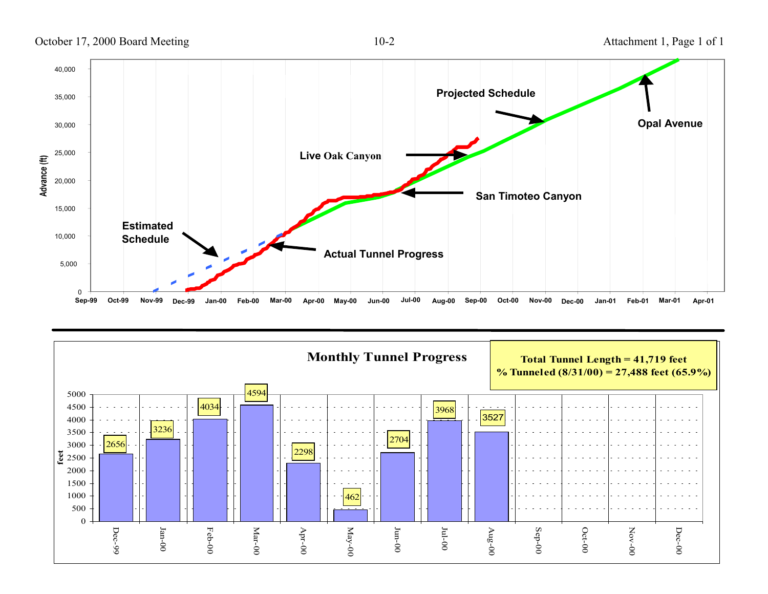October 17, 2000 Board Meeting 10-2 Attachment 1, Page 1 of 1



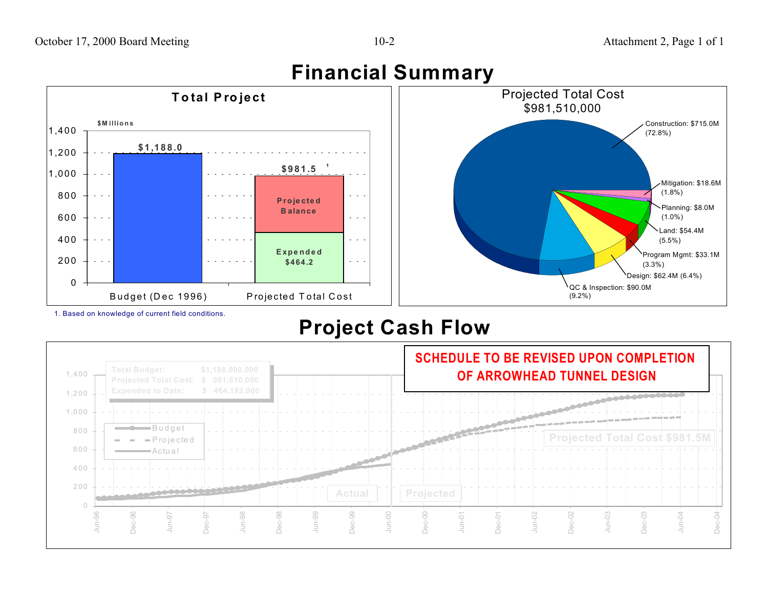## **Financial Summary**



1. Based on knowledge of current field conditions.

Budget (Dec 1996) Projected Total Cost

# **Project Cash Flow**



(9.2%)